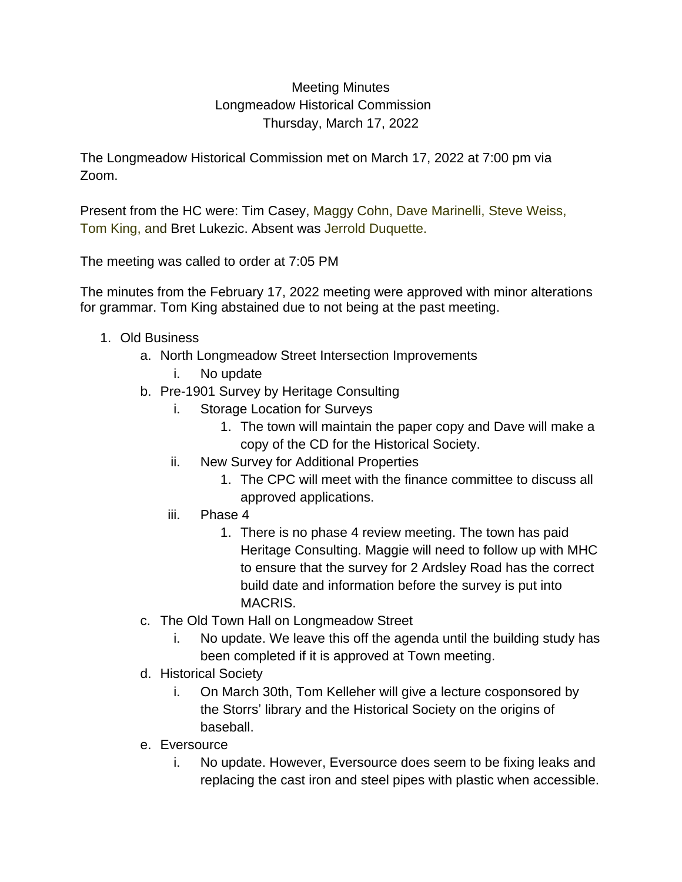## Meeting Minutes Longmeadow Historical Commission Thursday, March 17, 2022

The Longmeadow Historical Commission met on March 17, 2022 at 7:00 pm via Zoom.

Present from the HC were: Tim Casey, Maggy Cohn, Dave Marinelli, Steve Weiss, Tom King, and Bret Lukezic. Absent was Jerrold Duquette.

The meeting was called to order at 7:05 PM

The minutes from the February 17, 2022 meeting were approved with minor alterations for grammar. Tom King abstained due to not being at the past meeting.

- 1. Old Business
	- a. North Longmeadow Street Intersection Improvements
		- i. No update
	- b. Pre-1901 Survey by Heritage Consulting
		- i. Storage Location for Surveys
			- 1. The town will maintain the paper copy and Dave will make a copy of the CD for the Historical Society.
		- ii. New Survey for Additional Properties
			- 1. The CPC will meet with the finance committee to discuss all approved applications.
		- iii. Phase 4
			- 1. There is no phase 4 review meeting. The town has paid Heritage Consulting. Maggie will need to follow up with MHC to ensure that the survey for 2 Ardsley Road has the correct build date and information before the survey is put into MACRIS.
	- c. The Old Town Hall on Longmeadow Street
		- i. No update. We leave this off the agenda until the building study has been completed if it is approved at Town meeting.
	- d. Historical Society
		- i. On March 30th, Tom Kelleher will give a lecture cosponsored by the Storrs' library and the Historical Society on the origins of baseball.
	- e. Eversource
		- i. No update. However, Eversource does seem to be fixing leaks and replacing the cast iron and steel pipes with plastic when accessible.